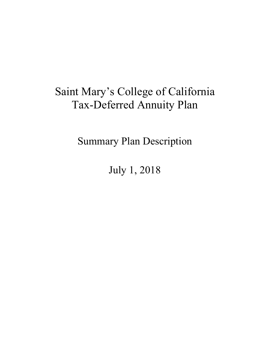# Saint Mary's College of California Tax-Deferred Annuity Plan

Summary Plan Description

July 1, 2018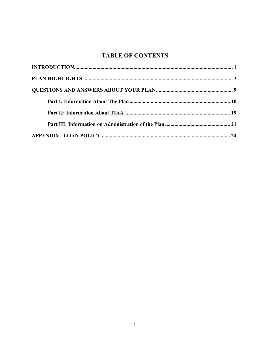### **TABLE OF CONTENTS**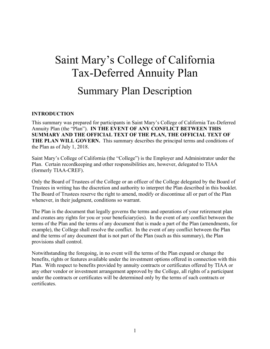# Saint Mary's College of California Tax-Deferred Annuity Plan

## Summary Plan Description

#### **INTRODUCTION**

This summary was prepared for participants in Saint Mary's College of California Tax-Deferred Annuity Plan (the "Plan"). **IN THE EVENT OF ANY CONFLICT BETWEEN THIS SUMMARY AND THE OFFICIAL TEXT OF THE PLAN, THE OFFICIAL TEXT OF THE PLAN WILL GOVERN.** This summary describes the principal terms and conditions of the Plan as of July 1, 2018.

Saint Mary's College of California (the "College") is the Employer and Administrator under the Plan. Certain recordkeeping and other responsibilities are, however, delegated to TIAA (formerly TIAA-CREF).

Only the Board of Trustees of the College or an officer of the College delegated by the Board of Trustees in writing has the discretion and authority to interpret the Plan described in this booklet. The Board of Trustees reserve the right to amend, modify or discontinue all or part of the Plan whenever, in their judgment, conditions so warrant.

The Plan is the document that legally governs the terms and operations of your retirement plan and creates any rights for you or your beneficiary(ies). In the event of any conflict between the terms of the Plan and the terms of any document that is made a part of the Plan (amendments, for example), the College shall resolve the conflict. In the event of any conflict between the Plan and the terms of any document that is not part of the Plan (such as this summary), the Plan provisions shall control.

Notwithstanding the foregoing, in no event will the terms of the Plan expand or change the benefits, rights or features available under the investment options offered in connection with this Plan. With respect to benefits provided by annuity contracts or certificates offered by TIAA or any other vendor or investment arrangement approved by the College, all rights of a participant under the contracts or certificates will be determined only by the terms of such contracts or certificates.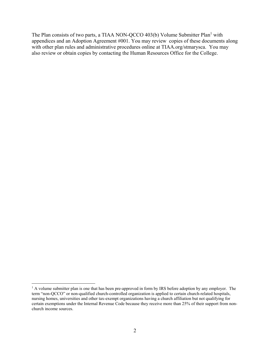The Plan consists of two parts, a TIAA NON-QCCO 403(b) Volume Submitter Plan<sup>1</sup> with appendices and an Adoption Agreement #001. You may review copies of these documents along with other plan rules and administrative procedures online at TIAA.org/stmarysca. You may also review or obtain copies by contacting the Human Resources Office for the College.

1

<sup>&</sup>lt;sup>1</sup> A volume submitter plan is one that has been pre-approved in form by IRS before adoption by any employer. The term "non-QCCO" or non-qualified church-controlled organization is applied to certain church-related hospitals, nursing homes, universities and other tax-exempt organizations having a church affiliation but not qualifying for certain exemptions under the Internal Revenue Code because they receive more than 25% of their support from nonchurch income sources.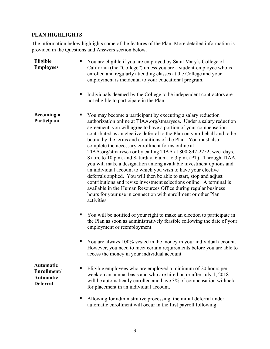### **PLAN HIGHLIGHTS**

The information below highlights some of the features of the Plan. More detailed information is provided in the Questions and Answers section below.

| Eligible<br><b>Employees</b>                                    | You are eligible if you are employed by Saint Mary's College of<br>California (the "College") unless you are a student-employee who is<br>enrolled and regularly attending classes at the College and your<br>employment is incidental to your educational program.<br>Individuals deemed by the College to be independent contractors are<br>п<br>not eligible to participate in the Plan.                                                                                                                                                                                                                                                                                                                                                                                                                                                                                                                                                                                                    |
|-----------------------------------------------------------------|------------------------------------------------------------------------------------------------------------------------------------------------------------------------------------------------------------------------------------------------------------------------------------------------------------------------------------------------------------------------------------------------------------------------------------------------------------------------------------------------------------------------------------------------------------------------------------------------------------------------------------------------------------------------------------------------------------------------------------------------------------------------------------------------------------------------------------------------------------------------------------------------------------------------------------------------------------------------------------------------|
| <b>Becoming a</b><br>Participant                                | You may become a participant by executing a salary reduction<br>authorization online at TIAA.org/stmarysca. Under a salary reduction<br>agreement, you will agree to have a portion of your compensation<br>contributed as an elective deferral to the Plan on your behalf and to be<br>bound by the terms and conditions of the Plan. You must also<br>complete the necessary enrollment forms online at<br>TIAA.org/stmarysca or by calling TIAA at 800-842-2252, weekdays,<br>8 a.m. to 10 p.m. and Saturday, 6 a.m. to 3 p.m. (PT). Through TIAA,<br>you will make a designation among available investment options and<br>an individual account to which you wish to have your elective<br>deferrals applied. You will then be able to start, stop and adjust<br>contributions and revise investment selections online. A terminal is<br>available in the Human Resources Office during regular business<br>hours for your use in connection with enrollment or other Plan<br>activities. |
|                                                                 | You will be notified of your right to make an election to participate in<br>п<br>the Plan as soon as administratively feasible following the date of your<br>employment or reemployment.                                                                                                                                                                                                                                                                                                                                                                                                                                                                                                                                                                                                                                                                                                                                                                                                       |
|                                                                 | You are always 100% vested in the money in your individual account.<br>п<br>However, you need to meet certain requirements before you are able to<br>access the money in your individual account.                                                                                                                                                                                                                                                                                                                                                                                                                                                                                                                                                                                                                                                                                                                                                                                              |
| Automatic<br>Enrollment/<br><b>Automatic</b><br><b>Deferral</b> | Eligible employees who are employed a minimum of 20 hours per<br>п<br>week on an annual basis and who are hired on or after July 1, 2018<br>will be automatically enrolled and have 3% of compensation withheld<br>for placement in an individual account.                                                                                                                                                                                                                                                                                                                                                                                                                                                                                                                                                                                                                                                                                                                                     |
|                                                                 | Allowing for administrative processing, the initial deferral under<br>п<br>automatic enrollment will occur in the first payroll following                                                                                                                                                                                                                                                                                                                                                                                                                                                                                                                                                                                                                                                                                                                                                                                                                                                      |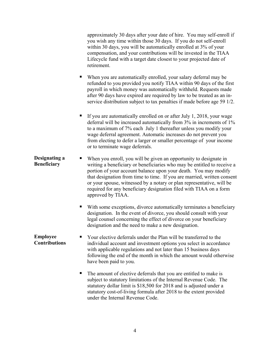approximately 30 days after your date of hire. You may self-enroll if you wish any time within those 30 days. If you do not self-enroll within 30 days, you will be automatically enrolled at 3% of your compensation, and your contributions will be invested in the TIAA Lifecycle fund with a target date closest to your projected date of retirement.

- When you are automatically enrolled, your salary deferral may be refunded to you provided you notify TIAA within 90 days of the first payroll in which money was automatically withheld. Requests made after 90 days have expired are required by law to be treated as an inservice distribution subject to tax penalties if made before age 59 1/2.
- If you are automatically enrolled on or after July 1, 2018, your wage deferral will be increased automatically from 3% in increments of 1% to a maximum of 7% each July 1 thereafter unless you modify your wage deferral agreement. Automatic increases do not prevent you from electing to defer a larger or smaller percentage of your income or to terminate wage deferrals.
- **Designating a Beneficiary**  When you enroll, you will be given an opportunity to designate in writing a beneficiary or beneficiaries who may be entitled to receive a portion of your account balance upon your death. You may modify that designation from time to time. If you are married, written consent or your spouse, witnessed by a notary or plan representative, will be required for any beneficiary designation filed with TIAA on a form approved by TIAA.
	- With some exceptions, divorce automatically terminates a beneficiary designation. In the event of divorce, you should consult with your legal counsel concerning the effect of divorce on your beneficiary designation and the need to make a new designation.
- **Employee**  ■ Your elective deferrals under the Plan will be transferred to the individual account and investment options you select in accordance with applicable regulations and not later than 15 business days following the end of the month in which the amount would otherwise have been paid to you.
	- The amount of elective deferrals that you are entitled to make is subject to statutory limitations of the Internal Revenue Code. The statutory dollar limit is \$18,500 for 2018 and is adjusted under a statutory cost-of-living formula after 2018 to the extent provided under the Internal Revenue Code.

## **Contributions**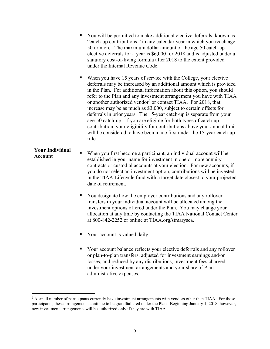|                                   | You will be permitted to make additional elective deferrals, known as<br>"catch-up contributions," in any calendar year in which you reach age<br>50 or more. The maximum dollar amount of the age 50 catch-up<br>elective deferrals for a year is \$6,000 for 2018 and is adjusted under a<br>statutory cost-of-living formula after 2018 to the extent provided<br>under the Internal Revenue Code.                                                                                                                                                                                                                                                                                                                                                 |
|-----------------------------------|-------------------------------------------------------------------------------------------------------------------------------------------------------------------------------------------------------------------------------------------------------------------------------------------------------------------------------------------------------------------------------------------------------------------------------------------------------------------------------------------------------------------------------------------------------------------------------------------------------------------------------------------------------------------------------------------------------------------------------------------------------|
|                                   | When you have 15 years of service with the College, your elective<br>deferrals may be increased by an additional amount which is provided<br>in the Plan. For additional information about this option, you should<br>refer to the Plan and any investment arrangement you have with TIAA<br>or another authorized vendor <sup>2</sup> or contact TIAA. For 2018, that<br>increase may be as much as \$3,000, subject to certain offsets for<br>deferrals in prior years. The 15-year catch-up is separate from your<br>age-50 catch-up. If you are eligible for both types of catch-up<br>contribution, your eligibility for contributions above your annual limit<br>will be considered to have been made first under the 15-year catch-up<br>rule. |
| <b>Your Individual</b><br>Account | When you first become a participant, an individual account will be<br>established in your name for investment in one or more annuity<br>contracts or custodial accounts at your election. For new accounts, if<br>you do not select an investment option, contributions will be invested<br>in the TIAA Lifecycle fund with a target date closest to your projected<br>date of retirement.                                                                                                                                                                                                                                                                                                                                                            |
|                                   | You designate how the employer contributions and any rollover<br>п<br>transfers in your individual account will be allocated among the<br>investment options offered under the Plan. You may change your<br>allocation at any time by contacting the TIAA National Contact Center<br>at 800-842-2252 or online at TIAA.org/stmarysca.                                                                                                                                                                                                                                                                                                                                                                                                                 |
|                                   | Your account is valued daily.                                                                                                                                                                                                                                                                                                                                                                                                                                                                                                                                                                                                                                                                                                                         |

 Your account balance reflects your elective deferrals and any rollover or plan-to-plan transfers, adjusted for investment earnings and/or losses, and reduced by any distributions, investment fees charged under your investment arrangements and your share of Plan administrative expenses.

 $\overline{a}$ 

<sup>&</sup>lt;sup>2</sup> A small number of participants currently have investment arrangements with vendors other than TIAA. For those participants, these arrangements continue to be grandfathered under the Plan. Beginning January 1, 2018, however, new investment arrangements will be authorized only if they are with TIAA.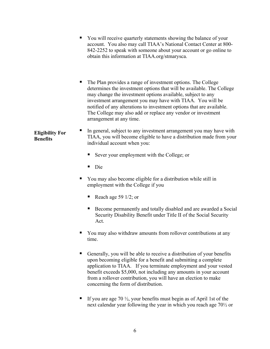- You will receive quarterly statements showing the balance of your account. You also may call TIAA's National Contact Center at 800- 842-2252 to speak with someone about your account or go online to obtain this information at TIAA.org/stmarysca.
- The Plan provides a range of investment options. The College determines the investment options that will be available. The College may change the investment options available, subject to any investment arrangement you may have with TIAA. You will be notified of any alterations to investment options that are available. The College may also add or replace any vendor or investment arrangement at any time.
- **Eligibility For Benefits**  In general, subject to any investment arrangement you may have with TIAA, you will become eligible to have a distribution made from your individual account when you:
	- Sever your employment with the College; or
	- Die
	- You may also become eligible for a distribution while still in employment with the College if you
		- Reach age 59  $1/2$ ; or
		- Become permanently and totally disabled and are awarded a Social Security Disability Benefit under Title II of the Social Security Act.
	- You may also withdraw amounts from rollover contributions at any time.
	- Generally, you will be able to receive a distribution of your benefits upon becoming eligible for a benefit and submitting a complete application to TIAA. If you terminate employment and your vested benefit exceeds \$5,000, not including any amounts in your account from a rollover contribution, you will have an election to make concerning the form of distribution.
	- If you are age 70  $\frac{1}{2}$ , your benefits must begin as of April 1st of the next calendar year following the year in which you reach age 70½ or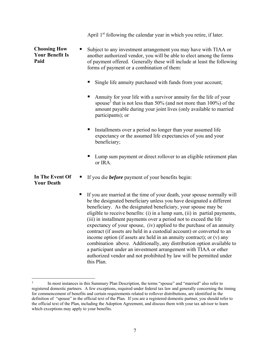|                                                       | April 1 <sup>st</sup> following the calendar year in which you retire, if later.                                                                                                                                                                                                                                                                                                                                                                                                                                                                                                                                                                                                                                                                                                                                                          |
|-------------------------------------------------------|-------------------------------------------------------------------------------------------------------------------------------------------------------------------------------------------------------------------------------------------------------------------------------------------------------------------------------------------------------------------------------------------------------------------------------------------------------------------------------------------------------------------------------------------------------------------------------------------------------------------------------------------------------------------------------------------------------------------------------------------------------------------------------------------------------------------------------------------|
| <b>Choosing How</b><br><b>Your Benefit Is</b><br>Paid | Subject to any investment arrangement you may have with TIAA or<br>ш<br>another authorized vendor, you will be able to elect among the forms<br>of payment offered. Generally these will include at least the following<br>forms of payment or a combination of them:                                                                                                                                                                                                                                                                                                                                                                                                                                                                                                                                                                     |
|                                                       | Single life annuity purchased with funds from your account;                                                                                                                                                                                                                                                                                                                                                                                                                                                                                                                                                                                                                                                                                                                                                                               |
|                                                       | Annuity for your life with a survivor annuity for the life of your<br>ш<br>spouse <sup>3</sup> that is not less than 50% (and not more than $100\%$ ) of the<br>amount payable during your joint lives (only available to married<br>participants); or                                                                                                                                                                                                                                                                                                                                                                                                                                                                                                                                                                                    |
|                                                       | Installments over a period no longer than your assumed life<br>ш<br>expectancy or the assumed life expectancies of you and your<br>beneficiary;                                                                                                                                                                                                                                                                                                                                                                                                                                                                                                                                                                                                                                                                                           |
|                                                       | Lump sum payment or direct rollover to an eligible retirement plan<br>ш<br>or IRA.                                                                                                                                                                                                                                                                                                                                                                                                                                                                                                                                                                                                                                                                                                                                                        |
| In The Event Of<br><b>Your Death</b>                  | If you die <b>before</b> payment of your benefits begin:<br>п                                                                                                                                                                                                                                                                                                                                                                                                                                                                                                                                                                                                                                                                                                                                                                             |
|                                                       | If you are married at the time of your death, your spouse normally will<br>п<br>be the designated beneficiary unless you have designated a different<br>beneficiary. As the designated beneficiary, your spouse may be<br>eligible to receive benefits: (i) in a lump sum, (ii) in partial payments,<br>(iii) in installment payments over a period not to exceed the life<br>expectancy of your spouse, (iv) applied to the purchase of an annuity<br>contract (if assets are held in a custodial account) or converted to an<br>income option (if assets are held in an annuity contract); or (v) any<br>combination above. Additionally, any distribution option available to<br>a participant under an investment arrangement with TIAA or other<br>authorized vendor and not prohibited by law will be permitted under<br>this Plan. |

 $\overline{a}$ 

<sup>3</sup> In most instances in this Summary Plan Description, the terms "spouse" and "married" also refer to registered domestic partners. A few exceptions, required under federal tax law and generally concerning the timing for commencement of benefits and certain requirements related to rollover distributions, are identified in the definition of "spouse" in the official text of the Plan. If you are a registered domestic partner, you should refer to the official text of the Plan, including the Adoption Agreement, and discuss them with your tax advisor to learn which exceptions may apply to your benefits.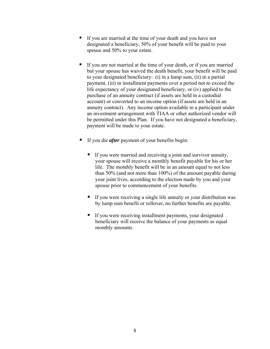- If you are married at the time of your death and you have not designated a beneficiary, 50% of your benefit will be paid to your spouse and 50% to your estate.
- If you are not married at the time of your death, or if you are married but your spouse has waived the death benefit, your benefit will be paid to your designated beneficiary: (i) in a lump sum, (ii) in a partial payment, (iii) in installment payments over a period not to exceed the life expectancy of your designated beneficiary, or (iv) applied to the purchase of an annuity contract (if assets are held in a custodial account) or converted to an income option (if assets are held in an annuity contract). Any income option available to a participant under an investment arrangement with TIAA or other authorized vendor will be permitted under this Plan. If you have not designated a beneficiary, payment will be made to your estate.
- If you die *after* payment of your benefits begin:
	- If you were married and receiving a joint and survivor annuity, your spouse will receive a monthly benefit payable for his or her life. The monthly benefit will be in an amount equal to not less than 50% (and not more than 100%) of the amount payable during your joint lives, according to the election made by you and your spouse prior to commencement of your benefits.
	- If you were receiving a single life annuity or your distribution was by lump sum benefit or rollover, no further benefits are payable.
	- If you were receiving installment payments, your designated beneficiary will receive the balance of your payments as equal monthly amounts.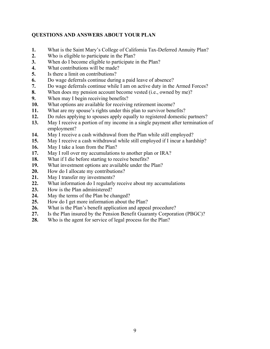#### **QUESTIONS AND ANSWERS ABOUT YOUR PLAN**

- **1.** What is the Saint Mary's College of California Tax-Deferred Annuity Plan?
- **2.** Who is eligible to participate in the Plan?
- **3.** When do I become eligible to participate in the Plan?
- **4.** What contributions will be made?
- **5.** Is there a limit on contributions?
- **6.** Do wage deferrals continue during a paid leave of absence?
- **7.** Do wage deferrals continue while I am on active duty in the Armed Forces?
- **8.** When does my pension account become vested (i.e., owned by me)?
- **9.** When may I begin receiving benefits?
- **10.** What options are available for receiving retirement income?
- **11.** What are my spouse's rights under this plan to survivor benefits?
- **12.** Do rules applying to spouses apply equally to registered domestic partners?
- **13.** May I receive a portion of my income in a single payment after termination of employment?
- **14.** May I receive a cash withdrawal from the Plan while still employed?
- **15.** May I receive a cash withdrawal while still employed if I incur a hardship?
- **16.** May I take a loan from the Plan?
- **17.** May I roll over my accumulations to another plan or IRA?
- **18.** What if I die before starting to receive benefits?
- **19.** What investment options are available under the Plan?
- **20.** How do I allocate my contributions?
- **21.** May I transfer my investments?
- **22.** What information do I regularly receive about my accumulations
- **23.** How is the Plan administered?
- **24.** May the terms of the Plan be changed?
- **25.** How do I get more information about the Plan?
- **26.** What is the Plan's benefit application and appeal procedure?
- **27.** Is the Plan insured by the Pension Benefit Guaranty Corporation (PBGC)?
- **28.** Who is the agent for service of legal process for the Plan?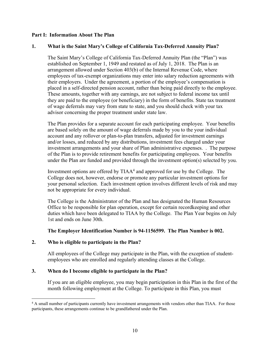#### **Part I: Information About The Plan**

#### **1. What is the Saint Mary's College of California Tax-Deferred Annuity Plan?**

The Saint Mary's College of California Tax-Deferred Annuity Plan (the "Plan") was established on September 1, 1949 and restated as of July 1, 2018. The Plan is an arrangement allowed under Section 403(b) of the Internal Revenue Code, where employees of tax-exempt organizations may enter into salary reduction agreements with their employers. Under the agreement, a portion of the employee's compensation is placed in a self-directed pension account, rather than being paid directly to the employee. These amounts, together with any earnings, are not subject to federal income tax until they are paid to the employee (or beneficiary) in the form of benefits. State tax treatment of wage deferrals may vary from state to state, and you should check with your tax advisor concerning the proper treatment under state law.

The Plan provides for a separate account for each participating employee. Your benefits are based solely on the amount of wage deferrals made by you to the your individual account and any rollover or plan-to-plan transfers, adjusted for investment earnings and/or losses, and reduced by any distributions, investment fees charged under your investment arrangements and your share of Plan administrative expenses. . The purpose of the Plan is to provide retirement benefits for participating employees. Your benefits under the Plan are funded and provided through the investment option(s) selected by you.

Investment options are offered by  $TIAA<sup>4</sup>$  and approved for use by the College. The College does not, however, endorse or promote any particular investment options for your personal selection. Each investment option involves different levels of risk and may not be appropriate for every individual.

The College is the Administrator of the Plan and has designated the Human Resources Office to be responsible for plan operation, except for certain recordkeeping and other duties which have been delegated to TIAA by the College. The Plan Year begins on July 1st and ends on June 30th.

#### **The Employer Identification Number is 94-1156599. The Plan Number is 002.**

#### **2. Who is eligible to participate in the Plan?**

 $\overline{a}$ 

All employees of the College may participate in the Plan, with the exception of studentemployees who are enrolled and regularly attending classes at the College.

#### **3. When do I become eligible to participate in the Plan?**

If you are an eligible employee, you may begin participation in this Plan in the first of the month following employment at the College. To participate in this Plan, you must

<sup>&</sup>lt;sup>4</sup> A small number of participants currently have investment arrangements with vendors other than TIAA. For those participants, these arrangements continue to be grandfathered under the Plan.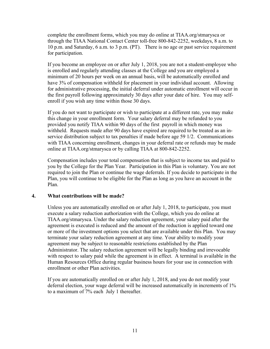complete the enrollment forms, which you may do online at TIAA.org/stmarysca or through the TIAA National Contact Center toll-free 800-842-2252, weekdays, 8 a.m. to 10 p.m. and Saturday, 6 a.m. to 3 p.m. (PT). There is no age or past service requirement for participation.

If you become an employee on or after July 1, 2018, you are not a student-employee who is enrolled and regularly attending classes at the College and you are employed a minimum of 20 hours per week on an annual basis, will be automatically enrolled and have 3% of compensation withheld for placement in your individual account. Allowing for administrative processing, the initial deferral under automatic enrollment will occur in the first payroll following approximately 30 days after your date of hire. You may selfenroll if you wish any time within those 30 days.

If you do not want to participate or wish to participate at a different rate, you may make this change in your enrollment form. Your salary deferral may be refunded to you provided you notify TIAA within 90 days of the first payroll in which money was withheld. Requests made after 90 days have expired are required to be treated as an inservice distribution subject to tax penalties if made before age 59 1/2. Communications with TIAA concerning enrollment, changes in your deferral rate or refunds may be made online at TIAA.org/stmarysca or by calling TIAA at 800-842-2252.

Compensation includes your total compensation that is subject to income tax and paid to you by the College for the Plan Year. Participation in this Plan is voluntary. You are not required to join the Plan or continue the wage deferrals. If you decide to participate in the Plan, you will continue to be eligible for the Plan as long as you have an account in the Plan.

#### **4. What contributions will be made?**

Unless you are automatically enrolled on or after July 1, 2018, to participate, you must execute a salary reduction authorization with the College, which you do online at TIAA.org/stmarysca. Under the salary reduction agreement, your salary paid after the agreement is executed is reduced and the amount of the reduction is applied toward one or more of the investment options you select that are available under this Plan. You may terminate your salary reduction agreement at any time. Your ability to modify your agreement may be subject to reasonable restrictions established by the Plan Administrator. The salary reduction agreement will be legally binding and irrevocable with respect to salary paid while the agreement is in effect. A terminal is available in the Human Resources Office during regular business hours for your use in connection with enrollment or other Plan activities.

If you are automatically enrolled on or after July 1, 2018, and you do not modify your deferral election, your wage deferral will be increased automatically in increments of 1% to a maximum of 7% each July 1 thereafter.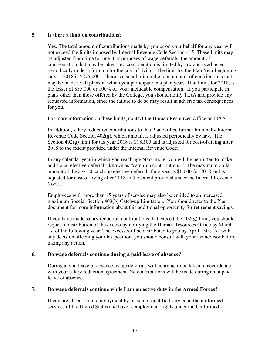#### **5. Is there a limit on contributions?**

Yes. The total amount of contributions made by you or on your behalf for any year will not exceed the limits imposed by Internal Revenue Code Section 415. These limits may be adjusted from time to time. For purposes of wage deferrals, the amount of compensation that may be taken into consideration is limited by law and is adjusted periodically under a formula for the cost of living. The limit for the Plan Year beginning July 1, 2018 is \$275,000. There is also a limit on the total amount of contributions that may be made to all plans in which you participate in a plan year. That limit, for 2018, is the lesser of \$55,000 or 100% of your includable compensation. If you participate in plans other than those offered by the College, you should notify TIAA and provide any requested information, since the failure to do so may result in adverse tax consequences for you.

For more information on these limits, contact the Human Resources Office or TIAA.

In addition, salary reduction contributions to this Plan will be further limited by Internal Revenue Code Section 402(g), which amount is adjusted periodically by law. The Section  $402(g)$  limit for tax year 2018 is \$18,500 and is adjusted for cost-of-living after 2018 to the extent provided under the Internal Revenue Code.

In any calendar year in which you reach age 50 or more, you will be permitted to make additional elective deferrals, known as "catch-up contributions." The maximum dollar amount of the age 50 catch-up elective deferrals for a year is \$6,000 for 2018 and is adjusted for cost-of-living after 2018 to the extent provided under the Internal Revenue Code.

Employees with more than 15 years of service may also be entitled to an increased maximum Special Section 403(b) Catch-up Limitation. You should refer to the Plan document for more information about this additional opportunity for retirement savings.

If you have made salary reduction contributions that exceed the  $402(g)$  limit, you should request a distribution of the excess by notifying the Human Resources Office by March 1st of the following year. The excess will be distributed to you by April 15th. As with any decision affecting your tax position, you should consult with your tax advisor before taking any action.

#### **6. Do wage deferrals continue during a paid leave of absence?**

During a paid leave of absence, wage deferrals will continue to be taken in accordance with your salary reduction agreement. No contributions will be made during an unpaid leave of absence.

#### **7. Do wage deferrals continue while I am on active duty in the Armed Forces?**

If you are absent from employment by reason of qualified service in the uniformed services of the United States and have reemployment rights under the Uniformed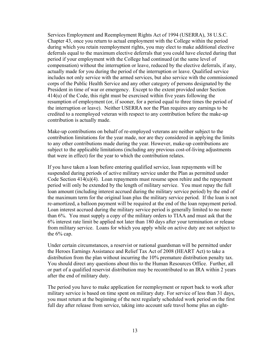Services Employment and Reemployment Rights Act of 1994 (USERRA), 38 U.S.C. Chapter 43, once you return to actual employment with the College within the period during which you retain reemployment rights, you may elect to make additional elective deferrals equal to the maximum elective deferrals that you could have elected during that period if your employment with the College had continued (at the same level of compensation) without the interruption or leave, reduced by the elective deferrals, if any, actually made for you during the period of the interruption or leave. Qualified service includes not only service with the armed services, but also service with the commissioned corps of the Public Health Service and any other category of persons designated by the President in time of war or emergency. Except to the extent provided under Section 414(u) of the Code, this right must be exercised within five years following the resumption of employment (or, if sooner, for a period equal to three times the period of the interruption or leave). Neither USERRA nor the Plan requires any earnings to be credited to a reemployed veteran with respect to any contribution before the make-up contribution is actually made.

Make-up contributions on behalf of re-employed veterans are neither subject to the contribution limitations for the year made, nor are they considered in applying the limits to any other contributions made during the year. However, make-up contributions are subject to the applicable limitations (including any previous cost-of-living adjustments that were in effect) for the year to which the contribution relates.

If you have taken a loan before entering qualified service, loan repayments will be suspended during periods of active military service under the Plan as permitted under Code Section 414(u)(4). Loan repayments must resume upon rehire and the repayment period will only be extended by the length of military service. You must repay the full loan amount (including interest accrued during the military service period) by the end of the maximum term for the original loan plus the military service period. If the loan is not re-amortized, a balloon payment will be required at the end of the loan repayment period. Loan interest accrued during the military service period is generally limited to no more than 6%. You must supply a copy of the military orders to TIAA and must ask that the 6% interest rate limit be applied not later than 180 days after your termination or release from military service. Loans for which you apply while on active duty are not subject to the 6% cap.

Under certain circumstances, a reservist or national guardsman will be permitted under the Heroes Earnings Assistance and Relief Tax Act of 2008 (HEART Act) to take a distribution from the plan without incurring the 10% premature distribution penalty tax. You should direct any questions about this to the Human Resources Office. Further, all or part of a qualified reservist distribution may be recontributed to an IRA within 2 years after the end of military duty.

The period you have to make application for reemployment or report back to work after military service is based on time spent on military duty. For service of less than 31 days, you must return at the beginning of the next regularly scheduled work period on the first full day after release from service, taking into account safe travel home plus an eight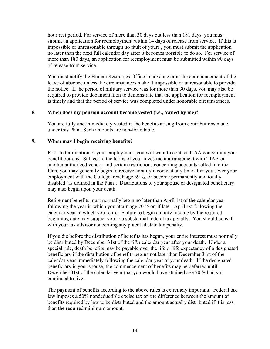hour rest period. For service of more than 30 days but less than 181 days, you must submit an application for reemployment within 14 days of release from service. If this is impossible or unreasonable through no fault of yours , you must submit the application no later than the next full calendar day after it becomes possible to do so. For service of more than 180 days, an application for reemployment must be submitted within 90 days of release from service.

You must notify the Human Resources Office in advance or at the commencement of the leave of absence unless the circumstances make it impossible or unreasonable to provide the notice. If the period of military service was for more than 30 days, you may also be required to provide documentation to demonstrate that the application for reemployment is timely and that the period of service was completed under honorable circumstances.

#### **8. When does my pension account become vested (i.e., owned by me)?**

You are fully and immediately vested in the benefits arising from contributions made under this Plan. Such amounts are non-forfeitable.

#### **9. When may I begin receiving benefits?**

Prior to termination of your employment, you will want to contact TIAA concerning your benefit options. Subject to the terms of your investment arrangement with TIAA or another authorized vendor and certain restrictions concerning accounts rolled into the Plan, you may generally begin to receive annuity income at any time after you sever your employment with the College, reach age 59  $\frac{1}{2}$ , or become permanently and totally disabled (as defined in the Plan). Distributions to your spouse or designated beneficiary may also begin upon your death.

Retirement benefits must normally begin no later than April 1st of the calendar year following the year in which you attain age  $70\frac{1}{2}$  or, if later, April 1st following the calendar year in which you retire. Failure to begin annuity income by the required beginning date may subject you to a substantial federal tax penalty. You should consult with your tax advisor concerning any potential state tax penalty.

If you die before the distribution of benefits has begun, your entire interest must normally be distributed by December 31st of the fifth calendar year after your death. Under a special rule, death benefits may be payable over the life or life expectancy of a designated beneficiary if the distribution of benefits begins not later than December 31st of the calendar year immediately following the calendar year of your death. If the designated beneficiary is your spouse, the commencement of benefits may be deferred until December 31st of the calendar year that you would have attained age 70 ½ had you continued to live.

The payment of benefits according to the above rules is extremely important. Federal tax law imposes a 50% nondeductible excise tax on the difference between the amount of benefits required by law to be distributed and the amount actually distributed if it is less than the required minimum amount.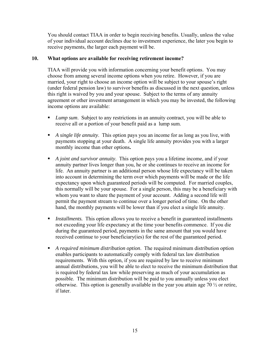You should contact TIAA in order to begin receiving benefits. Usually, unless the value of your individual account declines due to investment experience, the later you begin to receive payments, the larger each payment will be.

#### **10. What options are available for receiving retirement income?**

TIAA will provide you with information concerning your benefit options. You may choose from among several income options when you retire. However, if you are married, your right to choose an income option will be subject to your spouse's right (under federal pension law) to survivor benefits as discussed in the next question, unless this right is waived by you and your spouse. Subject to the terms of any annuity agreement or other investment arrangement in which you may be invested, the following income options are available:

- *Lump sum*. Subject to any restrictions in an annuity contract, you will be able to receive all or a portion of your benefit paid as a lump sum.
- *A single life annuity*. This option pays you an income for as long as you live, with payments stopping at your death. A single life annuity provides you with a larger monthly income than other options**.**
- *A joint and survivor annuity*. This option pays you a lifetime income, and if your annuity partner lives longer than you, he or she continues to receive an income for life. An annuity partner is an additional person whose life expectancy will be taken into account in determining the term over which payments will be made or the life expectancy upon which guaranteed periods will be computed. For married couples, this normally will be your spouse. For a single person, this may be a beneficiary with whom you want to share the payment of your account. Adding a second life will permit the payment stream to continue over a longer period of time. On the other hand, the monthly payments will be lower than if you elect a single life annuity.
- **I** Installments. This option allows you to receive a benefit in guaranteed installments not exceeding your life expectancy at the time your benefits commence. If you die during the guaranteed period, payments in the same amount that you would have received continue to your beneficiary(ies) for the rest of the guaranteed period.
- *A required minimum distribution option*. The required minimum distribution option enables participants to automatically comply with federal tax law distribution requirements. With this option, if you are required by law to receive minimum annual distributions, you will be able to elect to receive the minimum distribution that is required by federal tax law while preserving as much of your accumulation as possible. The minimum distribution will be paid to you annually unless you elect otherwise. This option is generally available in the year you attain age  $70\frac{1}{2}$  or retire, if later.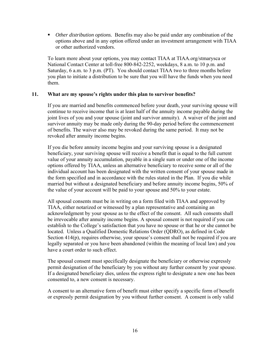*Other distribution options.* Benefits may also be paid under any combination of the options above and in any option offered under an investment arrangement with TIAA or other authorized vendors.

To learn more about your options, you may contact TIAA at TIAA.org/stmarysca or National Contact Center at toll-free 800-842-2252, weekdays, 8 a.m. to 10 p.m. and Saturday, 6 a.m. to 3 p.m. (PT). You should contact TIAA two to three months before you plan to initiate a distribution to be sure that you will have the funds when you need them.

#### **11. What are my spouse's rights under this plan to survivor benefits?**

If you are married and benefits commenced before your death, your surviving spouse will continue to receive income that is at least half of the annuity income payable during the joint lives of you and your spouse (joint and survivor annuity). A waiver of the joint and survivor annuity may be made only during the 90-day period before the commencement of benefits. The waiver also may be revoked during the same period. It may not be revoked after annuity income begins.

If you die before annuity income begins and your surviving spouse is a designated beneficiary, your surviving spouse will receive a benefit that is equal to the full current value of your annuity accumulation, payable in a single sum or under one of the income options offered by TIAA, unless an alternative beneficiary to receive some or all of the individual account has been designated with the written consent of your spouse made in the form specified and in accordance with the rules stated in the Plan. If you die while married but without a designated beneficiary and before annuity income begins, 50% of the value of your account will be paid to your spouse and 50% to your estate.

All spousal consents must be in writing on a form filed with TIAA and approved by TIAA, either notarized or witnessed by a plan representative and containing an acknowledgment by your spouse as to the effect of the consent. All such consents shall be irrevocable after annuity income begins. A spousal consent is not required if you can establish to the College's satisfaction that you have no spouse or that he or she cannot be located. Unless a Qualified Domestic Relations Order (QDRO), as defined in Code Section 414(p), requires otherwise, your spouse's consent shall not be required if you are legally separated or you have been abandoned (within the meaning of local law) and you have a court order to such effect.

The spousal consent must specifically designate the beneficiary or otherwise expressly permit designation of the beneficiary by you without any further consent by your spouse. If a designated beneficiary dies, unless the express right to designate a new one has been consented to, a new consent is necessary.

A consent to an alternative form of benefit must either specify a specific form of benefit or expressly permit designation by you without further consent. A consent is only valid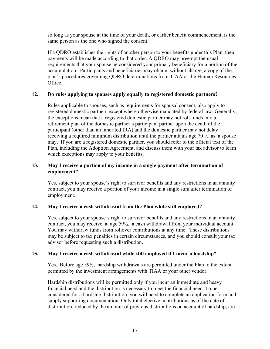so long as your spouse at the time of your death, or earlier benefit commencement, is the same person as the one who signed the consent.

If a QDRO establishes the rights of another person to your benefits under this Plan, then payments will be made according to that order. A QDRO may preempt the usual requirements that your spouse be considered your primary beneficiary for a portion of the accumulation. Participants and beneficiaries may obtain, without charge, a copy of the plan's procedures governing QDRO determinations from TIAA or the Human Resources Office.

#### **12. Do rules applying to spouses apply equally to registered domestic partners?**

Rules applicable to spouses, such as requirements for spousal consent, also apply to registered domestic partners except where otherwise mandated by federal law. Generally, the exceptions mean that a registered domestic partner may not roll funds into a retirement plan of the domestic partner's participant partner upon the death of the participant (other than an inherited IRA) and the domestic partner may not delay receiving a required minimum distribution until the partner attains age 70  $\frac{1}{2}$ , as a spouse may. If you are a registered domestic partner, you should refer to the official text of the Plan, including the Adoption Agreement, and discuss them with your tax advisor to learn which exceptions may apply to your benefits.

#### **13. May I receive a portion of my income in a single payment after termination of employment?**

Yes, subject to your spouse's right to survivor benefits and any restrictions in an annuity contract, you may receive a portion of your income in a single sum after termination of employment.

#### **14. May I receive a cash withdrawal from the Plan while still employed?**

Yes, subject to your spouse's right to survivor benefits and any restrictions in an annuity contract, you may receive, at age 59½, a cash withdrawal from your individual account. You may withdraw funds from rollover contributions at any time. These distributions may be subject to tax penalties in certain circumstances, and you should consult your tax advisor before requesting such a distribution.

#### **15. May I receive a cash withdrawal while still employed if I incur a hardship?**

Yes. Before age 59½, hardship withdrawals are permitted under the Plan to the extent permitted by the investment arrangements with TIAA or your other vendor.

Hardship distributions will be permitted only if you incur an immediate and heavy financial need and the distribution is necessary to meet the financial need. To be considered for a hardship distribution, you will need to complete an application form and supply supporting documentation. Only total elective contributions as of the date of distribution, reduced by the amount of previous distributions on account of hardship, are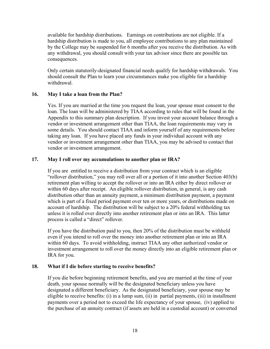available for hardship distributions. Earnings on contributions are not eligible. If a hardship distribution is made to you, all employee contributions to any plan maintained by the College may be suspended for 6 months after you receive the distribution. As with any withdrawal, you should consult with your tax advisor since there are possible tax consequences.

Only certain statutorily-designated financial needs qualify for hardship withdrawals. You should consult the Plan to learn your circumstances make you eligible for a hardship withdrawal.

#### **16. May I take a loan from the Plan?**

Yes. If you are married at the time you request the loan, your spouse must consent to the loan. The loan will be administered by TIAA according to rules that will be found in the Appendix to this summary plan description. If you invest your account balance through a vendor or investment arrangement other than TIAA, the loan requirements may vary in some details. You should contact TIAA and inform yourself of any requirements before taking any loan. If you have placed any funds in your individual account with any vendor or investment arrangement other than TIAA, you may be advised to contact that vendor or investment arrangement.

#### **17. May I roll over my accumulations to another plan or IRA?**

If you are entitled to receive a distribution from your contract which is an eligible "rollover distribution," you may roll over all or a portion of it into another Section 403(b) retirement plan willing to accept the rollover or into an IRA either by direct rollover or within 60 days after receipt. An eligible rollover distribution, in general, is any cash distribution other than an annuity payment, a minimum distribution payment, a payment which is part of a fixed period payment over ten or more years, or distributions made on account of hardship. The distribution will be subject to a 20% federal withholding tax unless it is rolled over directly into another retirement plan or into an IRA. This latter process is called a "direct" rollover.

If you have the distribution paid to you, then 20% of the distribution must be withheld even if you intend to roll over the money into another retirement plan or into an IRA within 60 days. To avoid withholding, instruct TIAA any other authorized vendor or investment arrangement to roll over the money directly into an eligible retirement plan or IRA for you.

#### **18. What if I die before starting to receive benefits?**

If you die before beginning retirement benefits, and you are married at the time of your death, your spouse normally will be the designated beneficiary unless you have designated a different beneficiary. As the designated beneficiary, your spouse may be eligible to receive benefits: (i) in a lump sum, (ii) in partial payments, (iii) in installment payments over a period not to exceed the life expectancy of your spouse, (iv) applied to the purchase of an annuity contract (if assets are held in a custodial account) or converted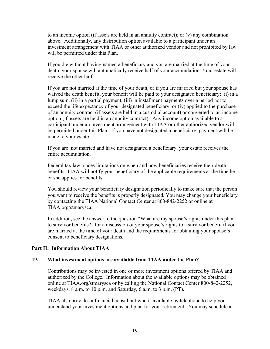to an income option (if assets are held in an annuity contract); or  $(v)$  any combination above. Additionally, any distribution option available to a participant under an investment arrangement with TIAA or other authorized vendor and not prohibited by law will be permitted under this Plan.

If you die without having named a beneficiary and you are married at the time of your death, your spouse will automatically receive half of your accumulation. Your estate will receive the other half.

If you are not married at the time of your death, or if you are married but your spouse has waived the death benefit, your benefit will be paid to your designated beneficiary: (i) in a lump sum, (ii) in a partial payment, (iii) in installment payments over a period not to exceed the life expectancy of your designated beneficiary, or (iv) applied to the purchase of an annuity contract (if assets are held in a custodial account) or converted to an income option (if assets are held in an annuity contract). Any income option available to a participant under an investment arrangement with TIAA or other authorized vendor will be permitted under this Plan. If you have not designated a beneficiary, payment will be made to your estate.

If you are not married and have not designated a beneficiary, your estate receives the entire accumulation.

Federal tax law places limitations on when and how beneficiaries receive their death benefits. TIAA will notify your beneficiary of the applicable requirements at the time he or she applies for benefits.

You should review your beneficiary designation periodically to make sure that the person you want to receive the benefits is properly designated. You may change your beneficiary by contacting the TIAA National Contact Center at 800-842-2252 or online at TIAA.org/stmarysca.

In addition, see the answer to the question "What are my spouse's rights under this plan to survivor benefits?" for a discussion of your spouse's rights to a survivor benefit if you are married at the time of your death and the requirements for obtaining your spouse's consent to beneficiary designations.

#### **Part II: Information About TIAA**

#### **19. What investment options are available from TIAA under the Plan?**

Contributions may be invested in one or more investment options offered by TIAA and authorized by the College. Information about the available options may be obtained online at TIAA.org/stmarysca or by calling the National Contact Center 800-842-2252, weekdays, 8 a.m. to 10 p.m. and Saturday, 6 a.m. to 3 p.m. (PT).

TIAA also provides a financial consultant who is available by telephone to help you understand your investment options and plan for your retirement. You may schedule a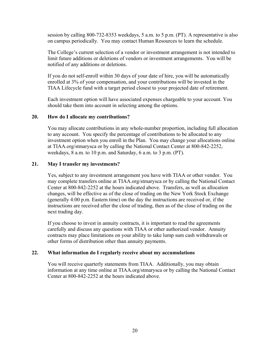session by calling 800-732-8353 weekdays, 5 a.m. to 5 p.m. (PT). A representative is also on campus periodically. You may contact Human Resources to learn the schedule.

The College's current selection of a vendor or investment arrangement is not intended to limit future additions or deletions of vendors or investment arrangements. You will be notified of any additions or deletions.

If you do not self-enroll within 30 days of your date of hire, you will be automatically enrolled at 3% of your compensation, and your contributions will be invested in the TIAA Lifecycle fund with a target period closest to your projected date of retirement.

Each investment option will have associated expenses chargeable to your account. You should take them into account in selecting among the options.

#### **20. How do I allocate my contributions?**

You may allocate contributions in any whole-number proportion, including full allocation to any account. You specify the percentage of contributions to be allocated to any investment option when you enroll in the Plan. You may change your allocations online at TIAA.org/stmarysca or by calling the National Contact Center at 800-842-2252, weekdays, 8 a.m. to 10 p.m. and Saturday, 6 a.m. to 3 p.m. (PT).

#### **21. May I transfer my investments?**

Yes, subject to any investment arrangement you have with TIAA or other vendor. You may complete transfers online at TIAA.org/stmarysca or by calling the National Contact Center at 800-842-2252 at the hours indicated above. Transfers, as well as allocation changes, will be effective as of the close of trading on the New York Stock Exchange (generally 4:00 p.m. Eastern time) on the day the instructions are received or, if the instructions are received after the close of trading, then as of the close of trading on the next trading day.

If you choose to invest in annuity contracts, it is important to read the agreements carefully and discuss any questions with TIAA or other authorized vendor. Annuity contracts may place limitations on your ability to take lump sum cash withdrawals or other forms of distribution other than annuity payments.

#### **22. What information do I regularly receive about my accumulations**

You will receive quarterly statements from TIAA. Additionally, you may obtain information at any time online at TIAA.org/stmarysca or by calling the National Contact Center at 800-842-2252 at the hours indicated above.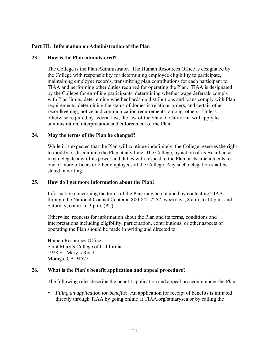#### **Part III: Information on Administration of the Plan**

#### **23. How is the Plan administered?**

The College is the Plan Administrator. The Human Resources Office is designated by the College with responsibility for determining employee eligibility to participate, maintaining employee records, transmitting plan contributions for each participant to TIAA and performing other duties required for operating the Plan. TIAA is designated by the College for enrolling participants, determining whether wage deferrals comply with Plan limits, determining whether hardship distributions and loans comply with Plan requirements, determining the status of domestic relations orders, and certain other recordkeeping, notice and communication requirements, among others. Unless otherwise required by federal law, the law of the State of California will apply to administration, interpretation and enforcement of the Plan.

#### **24. May the terms of the Plan be changed?**

While it is expected that the Plan will continue indefinitely, the College reserves the right to modify or discontinue the Plan at any time. The College, by action of its Board, also may delegate any of its power and duties with respect to the Plan or its amendments to one or more officers or other employees of the College. Any such delegation shall be stated in writing.

#### **25. How do I get more information about the Plan?**

Information concerning the terms of the Plan may be obtained by contacting TIAA through the National Contact Center at 800-842-2252, weekdays, 8 a.m. to 10 p.m. and Saturday, 6 a.m. to 3 p.m. (PT).

Otherwise, requests for information about the Plan and its terms, conditions and interpretations including eligibility, participation, contributions, or other aspects of operating the Plan should be made in writing and directed to:

Human Resources Office Saint Mary's College of California 1928 St. Mary's Road Moraga, CA 94575

#### **26. What is the Plan's benefit application and appeal procedure?**

The following rules describe the benefit application and appeal procedure under the Plan:

 *Filing an application for benefits:* An application for receipt of benefits is initiated directly through TIAA by going online at TIAA.org/stmarysca or by calling the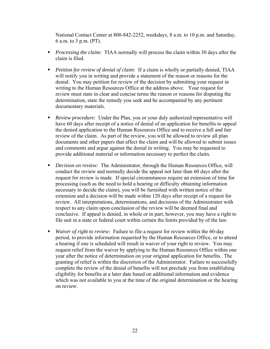National Contact Center at 800-842-2252, weekdays, 8 a.m. to 10 p.m. and Saturday, 6 a.m. to 3 p.m. (PT).

- *Processing the claim:* TIAA normally will process the claim within 30 days after the claim is filed.
- *Petition for review of denial of claim:* If a claim is wholly or partially denied, TIAA will notify you in writing and provide a statement of the reason or reasons for the denial. You may petition for review of the decision by submitting your request in writing to the Human Resources Office at the address above. Your request for review must state in clear and concise terms the reason or reasons for disputing the determination, state the remedy you seek and be accompanied by any pertinent documentary materials.
- *Review procedure:* Under the Plan, you or your duly authorized representative will have 60 days after receipt of a notice of denial of an application for benefits to appeal the denied application to the Human Resources Office and to receive a full and fair review of the claim. As part of the review, you will be allowed to review all plan documents and other papers that affect the claim and will be allowed to submit issues and comments and argue against the denial in writing. You may be requested to provide additional material or information necessary to perfect the claim.
- *Decision on review:* The Administrator, through the Human Resources Office, will conduct the review and normally decide the appeal not later than 60 days after the request for review is made. If special circumstances require an extension of time for processing (such as the need to hold a hearing or difficulty obtaining information necessary to decide the claim), you will be furnished with written notice of the extension and a decision will be made within 120 days after receipt of a request for review. All interpretations, determinations, and decisions of the Administrator with respect to any claim upon conclusion of the review will be deemed final and conclusive. If appeal is denied, in whole or in part, however, you may have a right to file suit in a state or federal court within certain the limits provided by of the law.
- *Waiver of right to review:* Failure to file a request for review within the 60-day period, to provide information requested by the Human Resources Office, or to attend a hearing if one is scheduled will result in waiver of your right to review. You may request relief from the waiver by applying to the Human Resources Office within one year after the notice of determination on your original application for benefits. The granting of relief is within the discretion of the Administrator. Failure to successfully complete the review of the denial of benefits will not preclude you from establishing eligibility for benefits at a later date based on additional information and evidence which was not available to you at the time of the original determination or the hearing on review.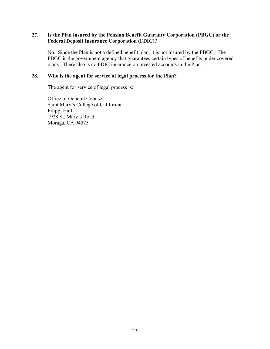#### **27. Is the Plan insured by the Pension Benefit Guaranty Corporation (PBGC) or the Federal Deposit Insurance Corporation (FDIC)?**

No. Since the Plan is not a defined benefit plan, it is not insured by the PBGC. The PBGC is the government agency that guarantees certain types of benefits under covered plans. There also is no FDIC insurance on invested accounts in the Plan.

#### **28. Who is the agent for service of legal process for the Plan?**

The agent for service of legal process is:

Office of General Counsel Saint Mary's College of California Filippi Hall 1928 St. Mary's Road Moraga, CA 94575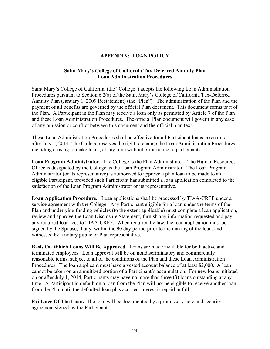#### **APPENDIX: LOAN POLICY**

#### **Saint Mary's College of California Tax-Deferred Annuity Plan Loan Administration Procedures**

Saint Mary's College of California (the "College") adopts the following Loan Administration Procedures pursuant to Section 6.2(a) of the Saint Mary's College of California Tax-Deferred Annuity Plan (January 1, 2009 Restatement) (the "Plan"). The administration of the Plan and the payment of all benefits are governed by the official Plan document. This document forms part of the Plan. A Participant in the Plan may receive a loan only as permitted by Article 7 of the Plan and these Loan Administration Procedures. The official Plan document will govern in any case of any omission or conflict between this document and the official plan text.

These Loan Administration Procedures shall be effective for all Participant loans taken on or after July 1, 2014. The College reserves the right to change the Loan Administration Procedures, including ceasing to make loans, at any time without prior notice to participants.

**Loan Program Administrator**. The College is the Plan Administrator. The Human Resources Office is designated by the College as the Loan Program Administrator. The Loan Program Administrator (or its representative) is authorized to approve a plan loan to be made to an eligible Participant, provided such Participant has submitted a loan application completed to the satisfaction of the Loan Program Administrator or its representative.

**Loan Application Procedure.** Loan applications shall be processed by TIAA-CREF under a service agreement with the College. Any Participant eligible for a loan under the terms of the Plan and underlying funding vehicles (to the extent applicable) must complete a loan application, review and approve the Loan Disclosure Statement, furnish any information requested and pay any required loan fees to TIAA-CREF. When required by law, the loan application must be signed by the Spouse, if any, within the 90 day period prior to the making of the loan, and witnessed by a notary public or Plan representative.

**Basis On Which Loans Will Be Approved.** Loans are made available for both active and terminated employees. Loan approval will be on nondiscriminatory and commercially reasonable terms, subject to all of the conditions of the Plan and these Loan Administration Procedures. The loan applicant must have a vested account balance of at least \$2,000. A loan cannot be taken on an annuitized portion of a Participant's accumulation. For new loans initiated on or after July 1, 2014, Participants may have no more than three (3) loans outstanding at any time. A Participant in default on a loan from the Plan will not be eligible to receive another loan from the Plan until the defaulted loan plus accrued interest is repaid in full.

**Evidence Of The Loan.** The loan will be documented by a promissory note and security agreement signed by the Participant.